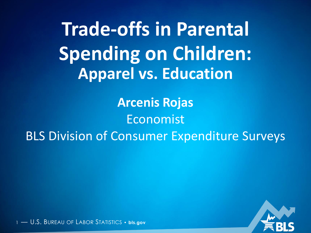**Apparel vs. Education Trade-offs in Parental Spending on Children:**

**Arcenis Rojas** Economist BLS Division of Consumer Expenditure Surveys

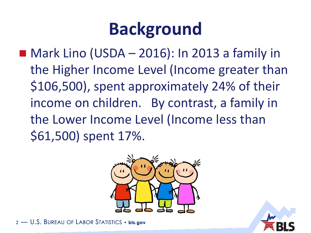## **Background**

 $\blacksquare$  Mark Lino (USDA – 2016): In 2013 a family in the Higher Income Level (Income greater than \$106,500), spent approximately 24% of their income on children. By contrast, a family in the Lower Income Level (Income less than \$61,500) spent 17%.





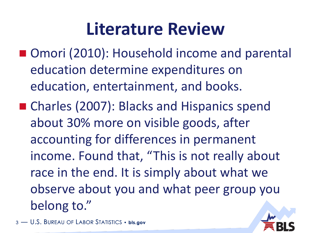### **Literature Review**

- Omori (2010): Household income and parental education determine expenditures on education, entertainment, and books.
- Charles (2007): Blacks and Hispanics spend about 30% more on visible goods, after accounting for differences in permanent income. Found that, "This is not really about race in the end. It is simply about what we observe about you and what peer group you belong to."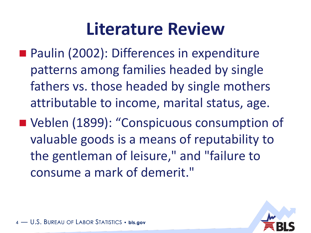### **Literature Review**

- Paulin (2002): Differences in expenditure patterns among families headed by single fathers vs. those headed by single mothers attributable to income, marital status, age.
- Veblen (1899): "Conspicuous consumption of valuable goods is a means of reputability to the gentleman of leisure," and "failure to consume a mark of demerit."

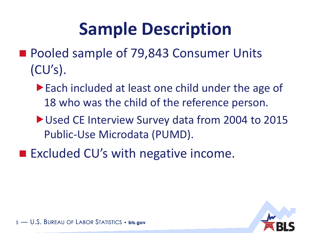## **Sample Description**

- Pooled sample of 79,843 Consumer Units  $(CU's)$ .
	- ▶ Each included at least one child under the age of 18 who was the child of the reference person.
	- ▶ Used CE Interview Survey data from 2004 to 2015 Public-Use Microdata (PUMD).
- Excluded CU's with negative income.

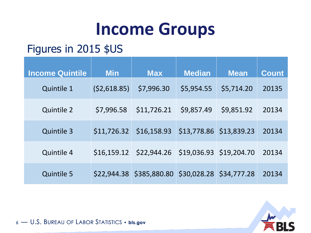### **Income Groups**

### Figures in 2015 \$US

| <b>Income Quintile</b> | <b>Min</b>  | <b>Max</b>                           | <b>Median</b>           | <b>Mean</b> | <b>Count</b> |
|------------------------|-------------|--------------------------------------|-------------------------|-------------|--------------|
| <b>Quintile 1</b>      | (52,618.85) | \$7,996.30                           | \$5,954.55              | \$5,714.20  | 20135        |
| <b>Quintile 2</b>      | \$7,996.58  | \$11,726.21                          | \$9,857.49              | \$9,851.92  | 20134        |
| <b>Quintile 3</b>      | \$11,726.32 | \$16,158.93                          | \$13,778.86 \$13,839.23 |             | 20134        |
| <b>Quintile 4</b>      | \$16,159.12 | \$22,944.26 \$19,036.93 \$19,204.70  |                         |             | 20134        |
| <b>Quintile 5</b>      | \$22,944.38 | \$385,880.80 \$30,028.28 \$34,777.28 |                         |             | 20134        |

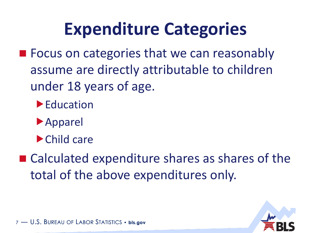### **Expenditure Categories**

- **FICUME:** Focus on categories that we can reasonably assume are directly attributable to children under 18 years of age.
	- ▶ Education
	- Apparel
	- Child care
- Calculated expenditure shares as shares of the total of the above expenditures only.

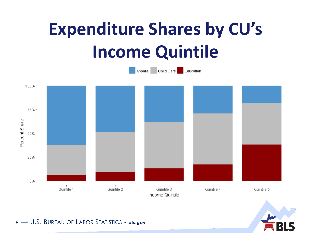# **Expenditure Shares by CU's Income Quintile**



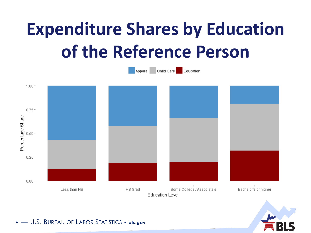# **Expenditure Shares by Education** of the Reference Person



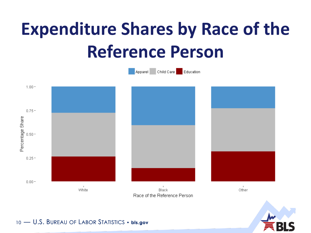# **Expenditure Shares by Race of the Reference Person**



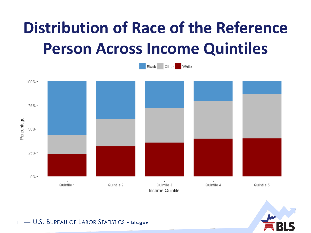### **Distribution of Race of the Reference Person Across Income Quintiles**



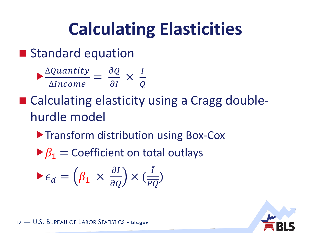## **Calculating Elasticities**

### **Standard equation**

$$
\frac{\Delta Quantity}{\Delta Income} = \frac{\partial Q}{\partial I} \times \frac{I}{Q}
$$

- Calculating elasticity using a Cragg doublehurdle model
	- **Transform distribution using Box-Cox**
	- $\triangleright$   $\beta_1$  = Coefficient on total outlays

$$
\blacktriangleright \epsilon_d = \left(\beta_1 \times \frac{\partial I}{\partial Q}\right) \times \left(\frac{\overline{I}}{\overline{PQ}}\right)
$$

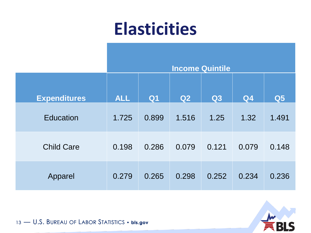### **Elasticities**

|                     | <b>Income Quintile</b> |           |       |                |       |                |  |  |
|---------------------|------------------------|-----------|-------|----------------|-------|----------------|--|--|
| <b>Expenditures</b> | <b>ALL</b>             | <b>Q1</b> | Q2    | Q <sub>3</sub> | Q4    | Q <sub>5</sub> |  |  |
| <b>Education</b>    | 1.725                  | 0.899     | 1.516 | 1.25           | 1.32  | 1.491          |  |  |
| <b>Child Care</b>   | 0.198                  | 0.286     | 0.079 | 0.121          | 0.079 | 0.148          |  |  |
| Apparel             | 0.279                  | 0.265     | 0.298 | 0.252          | 0.234 | 0.236          |  |  |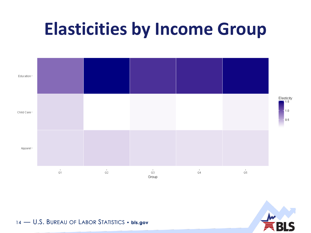### **Elasticities by Income Group**



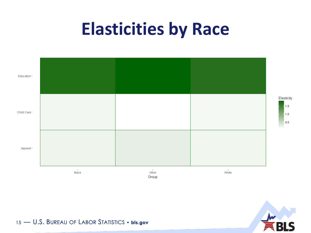### **Elasticities by Race**



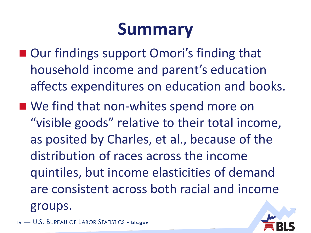## **Summary**

- Our findings support Omori's finding that household income and parent's education affects expenditures on education and books.
- We find that non-whites spend more on "visible goods" relative to their total income, as posited by Charles, et al., because of the distribution of races across the income quintiles, but income elasticities of demand are consistent across both racial and income groups.